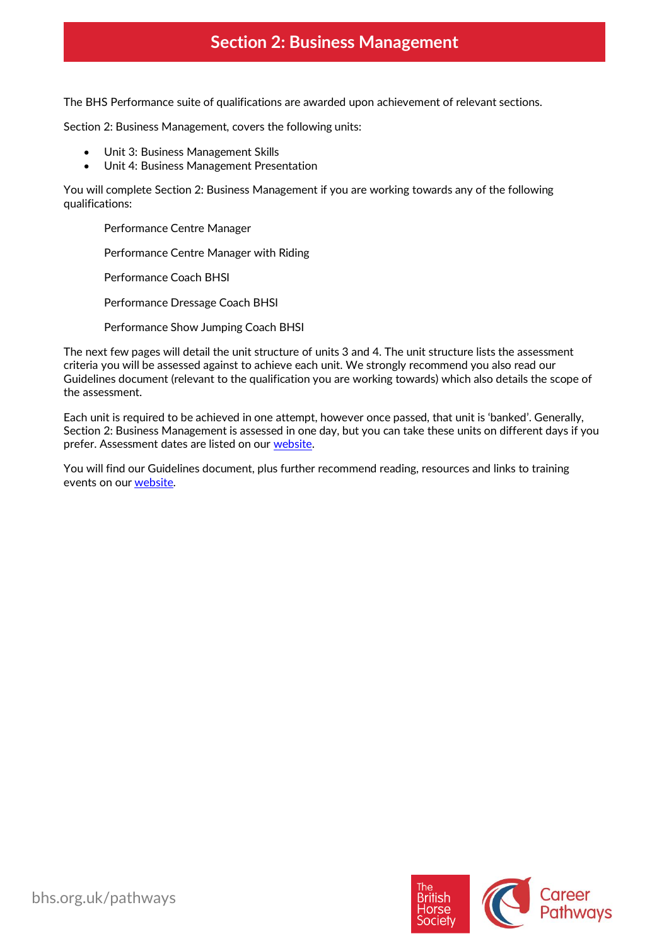# **Section 2: Business Management**

The BHS Performance suite of qualifications are awarded upon achievement of relevant sections.

Section 2: Business Management, covers the following units:

- Unit 3: Business Management Skills
- Unit 4: Business Management Presentation

You will complete Section 2: Business Management if you are working towards any of the following qualifications:

Performance Centre Manager

Performance Centre Manager with Riding

Performance Coach BHSI

Performance Dressage Coach BHSI

Performance Show Jumping Coach BHSI

The next few pages will detail the unit structure of units 3 and 4. The unit structure lists the assessment criteria you will be assessed against to achieve each unit. We strongly recommend you also read our Guidelines document (relevant to the qualification you are working towards) which also details the scope of the assessment.

Each unit is required to be achieved in one attempt, however once passed, that unit is 'banked'. Generally, Section 2: Business Management is assessed in one day, but you can take these units on different days if you prefer. Assessment dates are listed on our [website.](https://pathways.bhs.org.uk/assessments-training/find-an-assessment/)

You will find our Guidelines document, plus further recommend reading, resources and links to training events on ou[r website.](https://pathways.bhs.org.uk/career-pathways/)

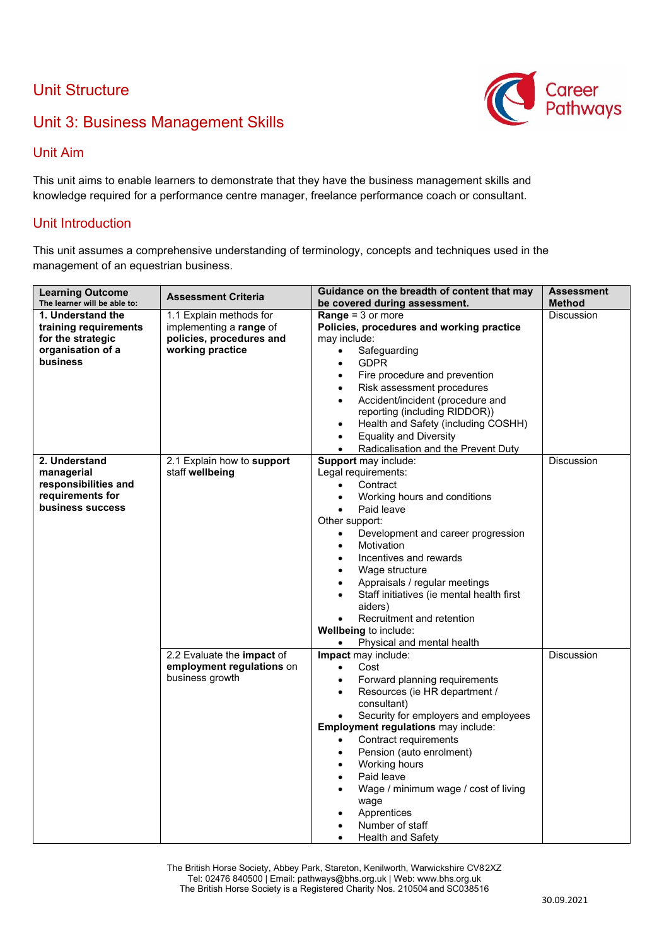### Unit Structure



### Unit 3: Business Management Skills

#### Unit Aim

This unit aims to enable learners to demonstrate that they have the business management skills and knowledge required for a performance centre manager, freelance performance coach or consultant.

#### Unit Introduction

This unit assumes a comprehensive understanding of terminology, concepts and techniques used in the management of an equestrian business.

| <b>Learning Outcome</b>                | <b>Assessment Criteria</b>                   | Guidance on the breadth of content that may                                | <b>Assessment</b> |
|----------------------------------------|----------------------------------------------|----------------------------------------------------------------------------|-------------------|
| The learner will be able to:           |                                              | be covered during assessment.                                              | <b>Method</b>     |
| 1. Understand the                      | 1.1 Explain methods for                      | <b>Range = 3 or more</b>                                                   | <b>Discussion</b> |
| training requirements                  | implementing a range of                      | Policies, procedures and working practice                                  |                   |
| for the strategic<br>organisation of a | policies, procedures and<br>working practice | may include:                                                               |                   |
| business                               |                                              | Safeguarding<br>$\bullet$<br><b>GDPR</b><br>$\bullet$                      |                   |
|                                        |                                              | Fire procedure and prevention<br>$\bullet$                                 |                   |
|                                        |                                              | Risk assessment procedures                                                 |                   |
|                                        |                                              | Accident/incident (procedure and<br>$\bullet$                              |                   |
|                                        |                                              | reporting (including RIDDOR))                                              |                   |
|                                        |                                              | Health and Safety (including COSHH)<br>$\bullet$                           |                   |
|                                        |                                              | <b>Equality and Diversity</b><br>$\bullet$                                 |                   |
|                                        |                                              | Radicalisation and the Prevent Duty<br>$\bullet$                           |                   |
| 2. Understand                          | 2.1 Explain how to support                   | Support may include:                                                       | <b>Discussion</b> |
| managerial                             | staff wellbeing                              | Legal requirements:                                                        |                   |
| responsibilities and                   |                                              | Contract                                                                   |                   |
| requirements for                       |                                              | Working hours and conditions                                               |                   |
| business success                       |                                              | Paid leave                                                                 |                   |
|                                        |                                              | Other support:                                                             |                   |
|                                        |                                              | Development and career progression<br>$\bullet$                            |                   |
|                                        |                                              | Motivation<br>$\bullet$                                                    |                   |
|                                        |                                              | Incentives and rewards                                                     |                   |
|                                        |                                              | Wage structure<br>$\bullet$                                                |                   |
|                                        |                                              | Appraisals / regular meetings<br>Staff initiatives (ie mental health first |                   |
|                                        |                                              | aiders)                                                                    |                   |
|                                        |                                              | Recruitment and retention<br>$\bullet$                                     |                   |
|                                        |                                              | Wellbeing to include:                                                      |                   |
|                                        |                                              | Physical and mental health                                                 |                   |
|                                        | 2.2 Evaluate the impact of                   | Impact may include:                                                        | <b>Discussion</b> |
|                                        | employment regulations on                    | Cost<br>$\bullet$                                                          |                   |
|                                        | business growth                              | Forward planning requirements<br>$\bullet$                                 |                   |
|                                        |                                              | Resources (ie HR department /                                              |                   |
|                                        |                                              | consultant)                                                                |                   |
|                                        |                                              | Security for employers and employees                                       |                   |
|                                        |                                              | Employment regulations may include:                                        |                   |
|                                        |                                              | Contract requirements                                                      |                   |
|                                        |                                              | Pension (auto enrolment)<br>$\bullet$                                      |                   |
|                                        |                                              | Working hours<br>$\bullet$                                                 |                   |
|                                        |                                              | Paid leave<br>Wage / minimum wage / cost of living                         |                   |
|                                        |                                              | wage                                                                       |                   |
|                                        |                                              | Apprentices                                                                |                   |
|                                        |                                              | Number of staff                                                            |                   |
|                                        |                                              | Health and Safety<br>$\bullet$                                             |                   |

The British Horse Society, Abbey Park, Stareton, Kenilworth, Warwickshire CV82XZ Tel: 02476 840500 | Email: pathways@bhs.org.uk | Web[: www.bhs.org.uk](http://www.bhs.org.uk/) The British Horse Society is a Registered Charity Nos. 210504 and SC038516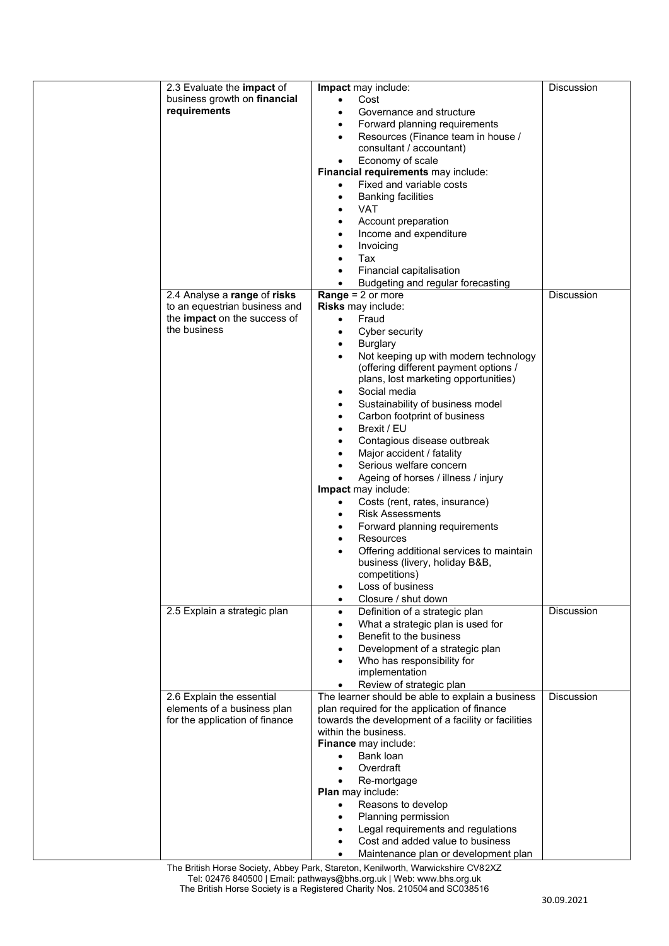| 2.3 Evaluate the impact of     | Impact may include:                                 | <b>Discussion</b> |
|--------------------------------|-----------------------------------------------------|-------------------|
| business growth on financial   | Cost<br>$\bullet$                                   |                   |
| requirements                   | Governance and structure                            |                   |
|                                |                                                     |                   |
|                                | Forward planning requirements                       |                   |
|                                | Resources (Finance team in house /                  |                   |
|                                | consultant / accountant)                            |                   |
|                                |                                                     |                   |
|                                | Economy of scale<br>$\bullet$                       |                   |
|                                | Financial requirements may include:                 |                   |
|                                | Fixed and variable costs<br>$\bullet$               |                   |
|                                |                                                     |                   |
|                                | <b>Banking facilities</b><br>$\bullet$              |                   |
|                                | VAT                                                 |                   |
|                                | Account preparation<br>$\bullet$                    |                   |
|                                |                                                     |                   |
|                                | Income and expenditure<br>٠                         |                   |
|                                | Invoicing                                           |                   |
|                                | Tax                                                 |                   |
|                                |                                                     |                   |
|                                | Financial capitalisation<br>٠                       |                   |
|                                | Budgeting and regular forecasting<br>$\bullet$      |                   |
| 2.4 Analyse a range of risks   | <b>Range</b> = $2$ or more                          | <b>Discussion</b> |
|                                |                                                     |                   |
| to an equestrian business and  | Risks may include:                                  |                   |
| the impact on the success of   | Fraud<br>$\bullet$                                  |                   |
| the business                   |                                                     |                   |
|                                | Cyber security<br>$\bullet$                         |                   |
|                                | <b>Burglary</b><br>$\bullet$                        |                   |
|                                | Not keeping up with modern technology<br>$\bullet$  |                   |
|                                | (offering different payment options /               |                   |
|                                |                                                     |                   |
|                                | plans, lost marketing opportunities)                |                   |
|                                | Social media<br>$\bullet$                           |                   |
|                                | Sustainability of business model                    |                   |
|                                | $\bullet$                                           |                   |
|                                | Carbon footprint of business<br>٠                   |                   |
|                                | Brexit / EU<br>٠                                    |                   |
|                                |                                                     |                   |
|                                | Contagious disease outbreak                         |                   |
|                                | Major accident / fatality                           |                   |
|                                | Serious welfare concern                             |                   |
|                                |                                                     |                   |
|                                | Ageing of horses / illness / injury<br>$\bullet$    |                   |
|                                | <b>Impact</b> may include:                          |                   |
|                                | Costs (rent, rates, insurance)<br>$\bullet$         |                   |
|                                |                                                     |                   |
|                                | <b>Risk Assessments</b>                             |                   |
|                                | Forward planning requirements<br>٠                  |                   |
|                                | Resources<br>$\bullet$                              |                   |
|                                |                                                     |                   |
|                                | Offering additional services to maintain<br>٠       |                   |
|                                | business (livery, holiday B&B,                      |                   |
|                                | competitions)                                       |                   |
|                                |                                                     |                   |
|                                | Loss of business<br>$\bullet$                       |                   |
|                                | Closure / shut down<br>$\bullet$                    |                   |
| 2.5 Explain a strategic plan   | Definition of a strategic plan<br>$\bullet$         | <b>Discussion</b> |
|                                |                                                     |                   |
|                                | What a strategic plan is used for<br>$\bullet$      |                   |
|                                | Benefit to the business                             |                   |
|                                | Development of a strategic plan                     |                   |
|                                |                                                     |                   |
|                                | Who has responsibility for                          |                   |
|                                | implementation                                      |                   |
|                                | Review of strategic plan<br>$\bullet$               |                   |
| 2.6 Explain the essential      | The learner should be able to explain a business    | <b>Discussion</b> |
|                                |                                                     |                   |
| elements of a business plan    | plan required for the application of finance        |                   |
| for the application of finance | towards the development of a facility or facilities |                   |
|                                | within the business.                                |                   |
|                                |                                                     |                   |
|                                | Finance may include:                                |                   |
|                                | Bank loan<br>$\bullet$                              |                   |
|                                | Overdraft                                           |                   |
|                                |                                                     |                   |
|                                | Re-mortgage                                         |                   |
|                                | Plan may include:                                   |                   |
|                                | Reasons to develop                                  |                   |
|                                |                                                     |                   |
|                                | Planning permission                                 |                   |
|                                | Legal requirements and regulations                  |                   |
|                                | Cost and added value to business                    |                   |
|                                | Maintenance plan or development plan<br>$\bullet$   |                   |
|                                |                                                     |                   |

The British Horse Society, Abbey Park, Stareton, Kenilworth, Warwickshire CV82XZ Tel: 02476 840500 | Email: pathways@bhs.org.uk | Web[: www.bhs.org.uk](http://www.bhs.org.uk/) The British Horse Society is a Registered Charity Nos. 210504 and SC038516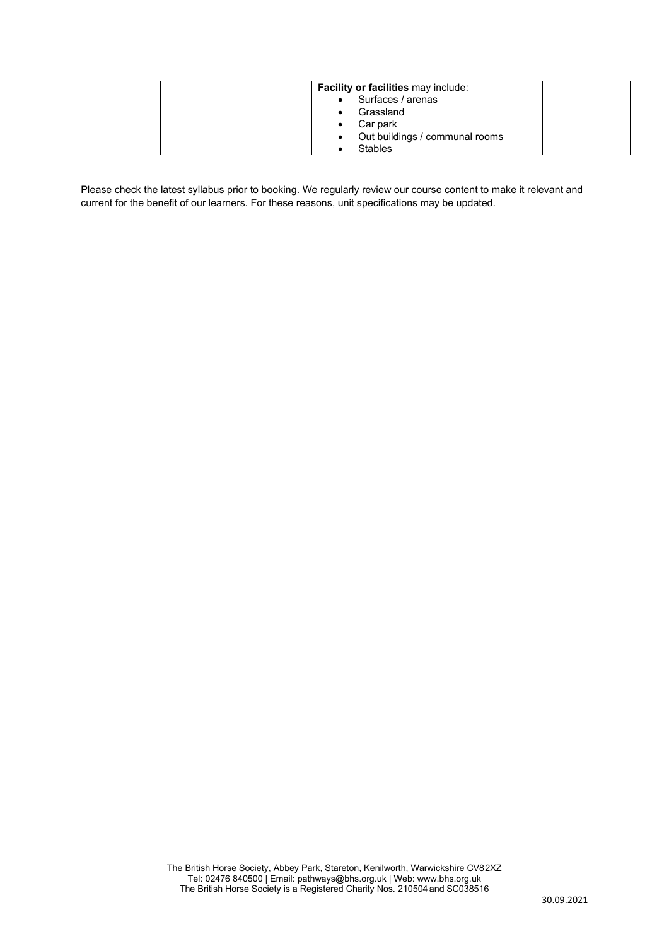| <b>Facility or facilities may include:</b>  |
|---------------------------------------------|
| • Surfaces / arenas                         |
| Grassland<br>$\bullet$                      |
| Car park<br>٠                               |
| Out buildings / communal rooms<br>$\bullet$ |
| <b>Stables</b>                              |

Please check the latest syllabus prior to booking. We regularly review our course content to make it relevant and current for the benefit of our learners. For these reasons, unit specifications may be updated.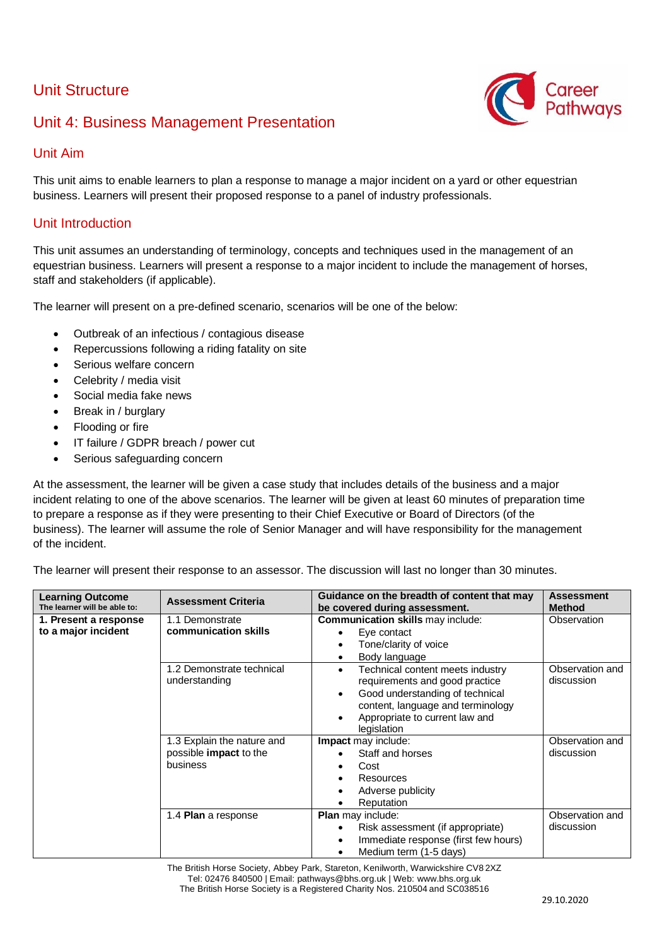## Unit Structure

## Unit 4: Business Management Presentation



### Unit Aim

This unit aims to enable learners to plan a response to manage a major incident on a yard or other equestrian business. Learners will present their proposed response to a panel of industry professionals.

#### Unit Introduction

This unit assumes an understanding of terminology, concepts and techniques used in the management of an equestrian business. Learners will present a response to a major incident to include the management of horses, staff and stakeholders (if applicable).

The learner will present on a pre-defined scenario, scenarios will be one of the below:

- Outbreak of an infectious / contagious disease
- Repercussions following a riding fatality on site
- Serious welfare concern
- Celebrity / media visit
- Social media fake news
- Break in / burglary
- Flooding or fire
- IT failure / GDPR breach / power cut
- Serious safeguarding concern

At the assessment, the learner will be given a case study that includes details of the business and a major incident relating to one of the above scenarios. The learner will be given at least 60 minutes of preparation time to prepare a response as if they were presenting to their Chief Executive or Board of Directors (of the business). The learner will assume the role of Senior Manager and will have responsibility for the management of the incident.

The learner will present their response to an assessor. The discussion will last no longer than 30 minutes.

| <b>Learning Outcome</b><br>The learner will be able to: | <b>Assessment Criteria</b>                                              | Guidance on the breadth of content that may<br>be covered during assessment.                                                                                                                                                       | <b>Assessment</b><br><b>Method</b> |
|---------------------------------------------------------|-------------------------------------------------------------------------|------------------------------------------------------------------------------------------------------------------------------------------------------------------------------------------------------------------------------------|------------------------------------|
| 1. Present a response<br>to a major incident            | 1.1 Demonstrate<br>communication skills                                 | <b>Communication skills may include:</b><br>Eye contact<br>Tone/clarity of voice<br>Body language<br>$\bullet$                                                                                                                     | Observation                        |
|                                                         | 1.2 Demonstrate technical<br>understanding                              | Technical content meets industry<br>$\bullet$<br>requirements and good practice<br>Good understanding of technical<br>$\bullet$<br>content, language and terminology<br>Appropriate to current law and<br>$\bullet$<br>legislation | Observation and<br>discussion      |
|                                                         | 1.3 Explain the nature and<br>possible <b>impact</b> to the<br>business | Impact may include:<br>Staff and horses<br>Cost<br>٠<br>Resources<br>٠<br>Adverse publicity<br>$\bullet$<br>Reputation                                                                                                             | Observation and<br>discussion      |
|                                                         | 1.4 Plan a response                                                     | <b>Plan</b> may include:<br>Risk assessment (if appropriate)<br>$\bullet$<br>Immediate response (first few hours)<br>$\bullet$<br>Medium term (1-5 days)<br>٠                                                                      | Observation and<br>discussion      |

The British Horse Society, Abbey Park, Stareton, Kenilworth, Warwickshire CV8 2XZ Tel: 02476 840500 | Email: pathways@bhs.org.uk | Web: [www.bhs.org.uk](http://www.bhs.org.uk/) The British Horse Society is a Registered Charity Nos. 210504 and SC038516